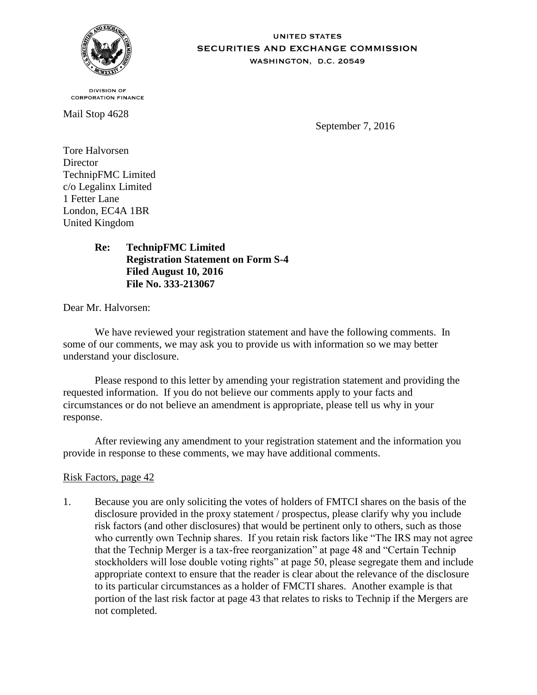

**UNITED STATES** SECURITIES AND EXCHANGE COMMISSION WASHINGTON, D.C. 20549

**DIVISION OF CORPORATION FINANCE** 

Mail Stop 4628

September 7, 2016

Tore Halvorsen **Director** TechnipFMC Limited c/o Legalinx Limited 1 Fetter Lane London, EC4A 1BR United Kingdom

# **Re: TechnipFMC Limited Registration Statement on Form S-4 Filed August 10, 2016 File No. 333-213067**

Dear Mr. Halvorsen:

We have reviewed your registration statement and have the following comments. In some of our comments, we may ask you to provide us with information so we may better understand your disclosure.

Please respond to this letter by amending your registration statement and providing the requested information. If you do not believe our comments apply to your facts and circumstances or do not believe an amendment is appropriate, please tell us why in your response.

After reviewing any amendment to your registration statement and the information you provide in response to these comments, we may have additional comments.

# Risk Factors, page 42

1. Because you are only soliciting the votes of holders of FMTCI shares on the basis of the disclosure provided in the proxy statement / prospectus, please clarify why you include risk factors (and other disclosures) that would be pertinent only to others, such as those who currently own Technip shares. If you retain risk factors like "The IRS may not agree that the Technip Merger is a tax-free reorganization" at page 48 and "Certain Technip stockholders will lose double voting rights" at page 50, please segregate them and include appropriate context to ensure that the reader is clear about the relevance of the disclosure to its particular circumstances as a holder of FMCTI shares. Another example is that portion of the last risk factor at page 43 that relates to risks to Technip if the Mergers are not completed.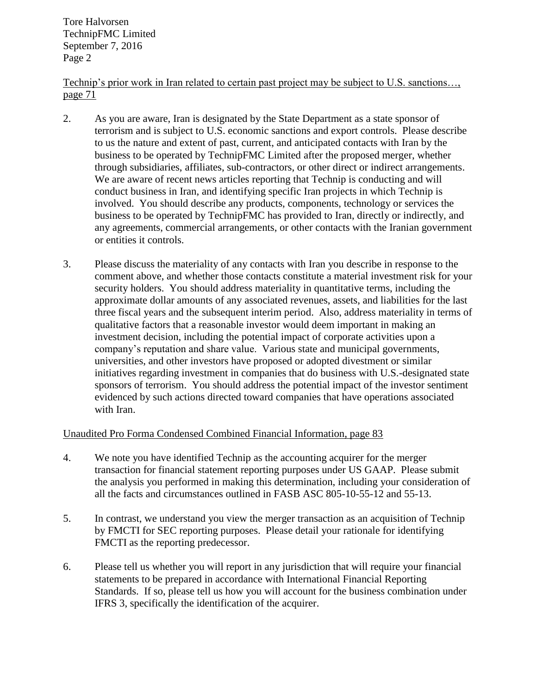Technip's prior work in Iran related to certain past project may be subject to U.S. sanctions…, page 71

- 2. As you are aware, Iran is designated by the State Department as a state sponsor of terrorism and is subject to U.S. economic sanctions and export controls. Please describe to us the nature and extent of past, current, and anticipated contacts with Iran by the business to be operated by TechnipFMC Limited after the proposed merger, whether through subsidiaries, affiliates, sub-contractors, or other direct or indirect arrangements. We are aware of recent news articles reporting that Technip is conducting and will conduct business in Iran, and identifying specific Iran projects in which Technip is involved. You should describe any products, components, technology or services the business to be operated by TechnipFMC has provided to Iran, directly or indirectly, and any agreements, commercial arrangements, or other contacts with the Iranian government or entities it controls.
- 3. Please discuss the materiality of any contacts with Iran you describe in response to the comment above, and whether those contacts constitute a material investment risk for your security holders. You should address materiality in quantitative terms, including the approximate dollar amounts of any associated revenues, assets, and liabilities for the last three fiscal years and the subsequent interim period. Also, address materiality in terms of qualitative factors that a reasonable investor would deem important in making an investment decision, including the potential impact of corporate activities upon a company's reputation and share value. Various state and municipal governments, universities, and other investors have proposed or adopted divestment or similar initiatives regarding investment in companies that do business with U.S.-designated state sponsors of terrorism. You should address the potential impact of the investor sentiment evidenced by such actions directed toward companies that have operations associated with Iran.

# Unaudited Pro Forma Condensed Combined Financial Information, page 83

- 4. We note you have identified Technip as the accounting acquirer for the merger transaction for financial statement reporting purposes under US GAAP. Please submit the analysis you performed in making this determination, including your consideration of all the facts and circumstances outlined in FASB ASC 805-10-55-12 and 55-13.
- 5. In contrast, we understand you view the merger transaction as an acquisition of Technip by FMCTI for SEC reporting purposes. Please detail your rationale for identifying FMCTI as the reporting predecessor.
- 6. Please tell us whether you will report in any jurisdiction that will require your financial statements to be prepared in accordance with International Financial Reporting Standards. If so, please tell us how you will account for the business combination under IFRS 3, specifically the identification of the acquirer.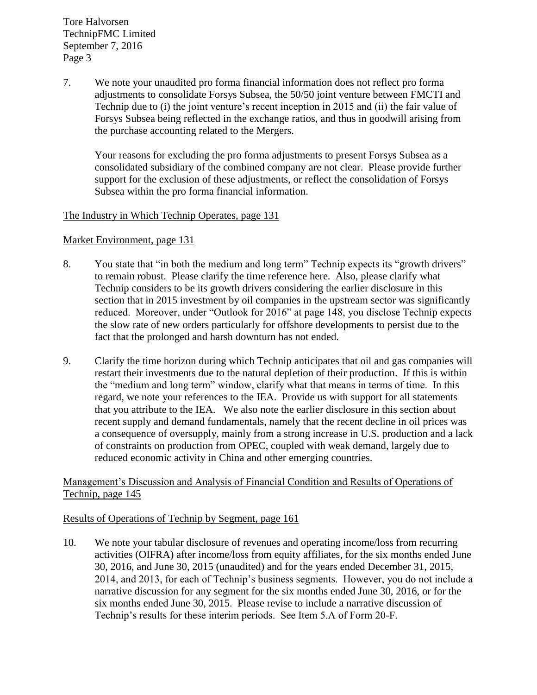7. We note your unaudited pro forma financial information does not reflect pro forma adjustments to consolidate Forsys Subsea, the 50/50 joint venture between FMCTI and Technip due to (i) the joint venture's recent inception in 2015 and (ii) the fair value of Forsys Subsea being reflected in the exchange ratios, and thus in goodwill arising from the purchase accounting related to the Mergers.

Your reasons for excluding the pro forma adjustments to present Forsys Subsea as a consolidated subsidiary of the combined company are not clear. Please provide further support for the exclusion of these adjustments, or reflect the consolidation of Forsys Subsea within the pro forma financial information.

## The Industry in Which Technip Operates, page 131

#### Market Environment, page 131

- 8. You state that "in both the medium and long term" Technip expects its "growth drivers" to remain robust. Please clarify the time reference here. Also, please clarify what Technip considers to be its growth drivers considering the earlier disclosure in this section that in 2015 investment by oil companies in the upstream sector was significantly reduced. Moreover, under "Outlook for 2016" at page 148, you disclose Technip expects the slow rate of new orders particularly for offshore developments to persist due to the fact that the prolonged and harsh downturn has not ended.
- 9. Clarify the time horizon during which Technip anticipates that oil and gas companies will restart their investments due to the natural depletion of their production. If this is within the "medium and long term" window, clarify what that means in terms of time. In this regard, we note your references to the IEA. Provide us with support for all statements that you attribute to the IEA. We also note the earlier disclosure in this section about recent supply and demand fundamentals, namely that the recent decline in oil prices was a consequence of oversupply, mainly from a strong increase in U.S. production and a lack of constraints on production from OPEC, coupled with weak demand, largely due to reduced economic activity in China and other emerging countries.

## Management's Discussion and Analysis of Financial Condition and Results of Operations of Technip, page 145

#### Results of Operations of Technip by Segment, page 161

10. We note your tabular disclosure of revenues and operating income/loss from recurring activities (OIFRA) after income/loss from equity affiliates, for the six months ended June 30, 2016, and June 30, 2015 (unaudited) and for the years ended December 31, 2015, 2014, and 2013, for each of Technip's business segments. However, you do not include a narrative discussion for any segment for the six months ended June 30, 2016, or for the six months ended June 30, 2015. Please revise to include a narrative discussion of Technip's results for these interim periods. See Item 5.A of Form 20-F.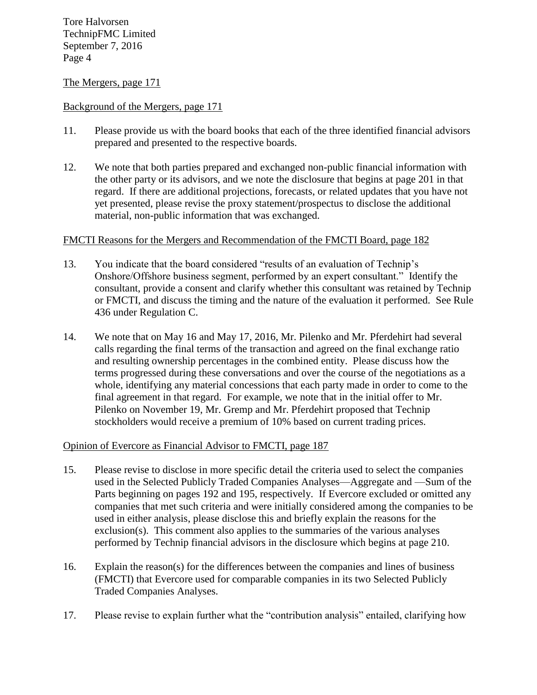#### The Mergers, page 171

#### Background of the Mergers, page 171

- 11. Please provide us with the board books that each of the three identified financial advisors prepared and presented to the respective boards.
- 12. We note that both parties prepared and exchanged non-public financial information with the other party or its advisors, and we note the disclosure that begins at page 201 in that regard. If there are additional projections, forecasts, or related updates that you have not yet presented, please revise the proxy statement/prospectus to disclose the additional material, non-public information that was exchanged.

#### FMCTI Reasons for the Mergers and Recommendation of the FMCTI Board, page 182

- 13. You indicate that the board considered "results of an evaluation of Technip's Onshore/Offshore business segment, performed by an expert consultant." Identify the consultant, provide a consent and clarify whether this consultant was retained by Technip or FMCTI, and discuss the timing and the nature of the evaluation it performed. See Rule 436 under Regulation C.
- 14. We note that on May 16 and May 17, 2016, Mr. Pilenko and Mr. Pferdehirt had several calls regarding the final terms of the transaction and agreed on the final exchange ratio and resulting ownership percentages in the combined entity. Please discuss how the terms progressed during these conversations and over the course of the negotiations as a whole, identifying any material concessions that each party made in order to come to the final agreement in that regard. For example, we note that in the initial offer to Mr. Pilenko on November 19, Mr. Gremp and Mr. Pferdehirt proposed that Technip stockholders would receive a premium of 10% based on current trading prices.

#### Opinion of Evercore as Financial Advisor to FMCTI, page 187

- 15. Please revise to disclose in more specific detail the criteria used to select the companies used in the Selected Publicly Traded Companies Analyses—Aggregate and —Sum of the Parts beginning on pages 192 and 195, respectively. If Evercore excluded or omitted any companies that met such criteria and were initially considered among the companies to be used in either analysis, please disclose this and briefly explain the reasons for the exclusion(s). This comment also applies to the summaries of the various analyses performed by Technip financial advisors in the disclosure which begins at page 210.
- 16. Explain the reason(s) for the differences between the companies and lines of business (FMCTI) that Evercore used for comparable companies in its two Selected Publicly Traded Companies Analyses.
- 17. Please revise to explain further what the "contribution analysis" entailed, clarifying how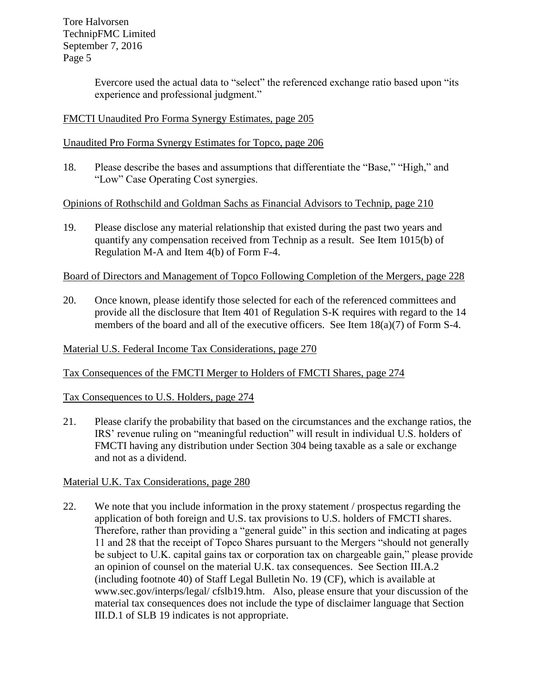> Evercore used the actual data to "select" the referenced exchange ratio based upon "its experience and professional judgment."

# FMCTI Unaudited Pro Forma Synergy Estimates, page 205

Unaudited Pro Forma Synergy Estimates for Topco, page 206

18. Please describe the bases and assumptions that differentiate the "Base," "High," and "Low" Case Operating Cost synergies.

Opinions of Rothschild and Goldman Sachs as Financial Advisors to Technip, page 210

19. Please disclose any material relationship that existed during the past two years and quantify any compensation received from Technip as a result. See Item 1015(b) of Regulation M-A and Item 4(b) of Form F-4.

Board of Directors and Management of Topco Following Completion of the Mergers, page 228

20. Once known, please identify those selected for each of the referenced committees and provide all the disclosure that Item 401 of Regulation S-K requires with regard to the 14 members of the board and all of the executive officers. See Item 18(a)(7) of Form S-4.

Material U.S. Federal Income Tax Considerations, page 270

Tax Consequences of the FMCTI Merger to Holders of FMCTI Shares, page 274

Tax Consequences to U.S. Holders, page 274

21. Please clarify the probability that based on the circumstances and the exchange ratios, the IRS' revenue ruling on "meaningful reduction" will result in individual U.S. holders of FMCTI having any distribution under Section 304 being taxable as a sale or exchange and not as a dividend.

Material U.K. Tax Considerations, page 280

22. We note that you include information in the proxy statement / prospectus regarding the application of both foreign and U.S. tax provisions to U.S. holders of FMCTI shares. Therefore, rather than providing a "general guide" in this section and indicating at pages 11 and 28 that the receipt of Topco Shares pursuant to the Mergers "should not generally be subject to U.K. capital gains tax or corporation tax on chargeable gain," please provide an opinion of counsel on the material U.K. tax consequences. See Section III.A.2 (including footnote 40) of Staff Legal Bulletin No. 19 (CF), which is available at www.sec.gov/interps/legal/ cfslb19.htm. Also, please ensure that your discussion of the material tax consequences does not include the type of disclaimer language that Section III.D.1 of SLB 19 indicates is not appropriate.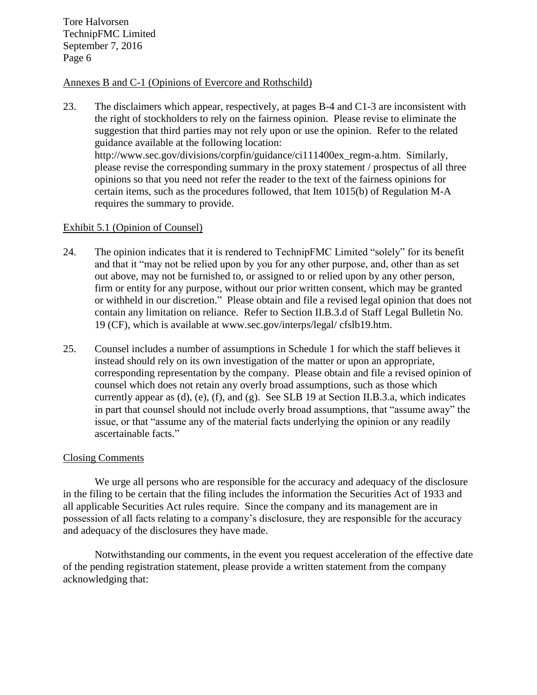## Annexes B and C-1 (Opinions of Evercore and Rothschild)

23. The disclaimers which appear, respectively, at pages B-4 and C1-3 are inconsistent with the right of stockholders to rely on the fairness opinion. Please revise to eliminate the suggestion that third parties may not rely upon or use the opinion. Refer to the related guidance available at the following location: http://www.sec.gov/divisions/corpfin/guidance/ci111400ex\_regm-a.htm. Similarly, please revise the corresponding summary in the proxy statement / prospectus of all three opinions so that you need not refer the reader to the text of the fairness opinions for certain items, such as the procedures followed, that Item 1015(b) of Regulation M-A requires the summary to provide.

#### Exhibit 5.1 (Opinion of Counsel)

- 24. The opinion indicates that it is rendered to TechnipFMC Limited "solely" for its benefit and that it "may not be relied upon by you for any other purpose, and, other than as set out above, may not be furnished to, or assigned to or relied upon by any other person, firm or entity for any purpose, without our prior written consent, which may be granted or withheld in our discretion." Please obtain and file a revised legal opinion that does not contain any limitation on reliance. Refer to Section II.B.3.d of Staff Legal Bulletin No. 19 (CF), which is available at www.sec.gov/interps/legal/ cfslb19.htm.
- 25. Counsel includes a number of assumptions in Schedule 1 for which the staff believes it instead should rely on its own investigation of the matter or upon an appropriate, corresponding representation by the company. Please obtain and file a revised opinion of counsel which does not retain any overly broad assumptions, such as those which currently appear as  $(d)$ ,  $(e)$ ,  $(f)$ , and  $(g)$ . See SLB 19 at Section II.B.3.a, which indicates in part that counsel should not include overly broad assumptions, that "assume away" the issue, or that "assume any of the material facts underlying the opinion or any readily ascertainable facts."

#### Closing Comments

We urge all persons who are responsible for the accuracy and adequacy of the disclosure in the filing to be certain that the filing includes the information the Securities Act of 1933 and all applicable Securities Act rules require. Since the company and its management are in possession of all facts relating to a company's disclosure, they are responsible for the accuracy and adequacy of the disclosures they have made.

Notwithstanding our comments, in the event you request acceleration of the effective date of the pending registration statement, please provide a written statement from the company acknowledging that: